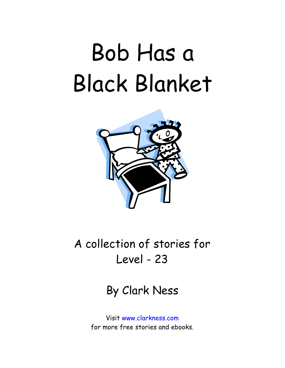## Bob Has a Black Blanket



A collection of stories for Level - 23

By Clark Ness

Visit www.clarkness.com for more free stories and ebooks.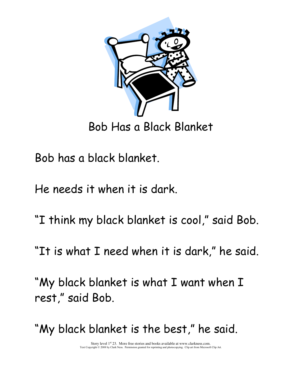

Bob Has a Black Blanket

Bob has a black blanket.

He needs it when it is dark.

"I think my black blanket is cool," said Bob.

"It is what I need when it is dark," he said.

"My black blanket is what I want when I rest," said Bob.

"My black blanket is the best," he said.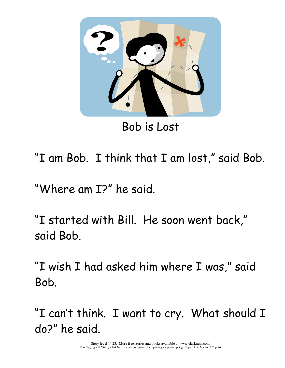

Bob is Lost

"I am Bob. I think that I am lost," said Bob.

"Where am I?" he said.

"I started with Bill. He soon went back," said Bob.

"I wish I had asked him where I was," said Bob.

"I can't think. I want to cry. What should I do?" he said.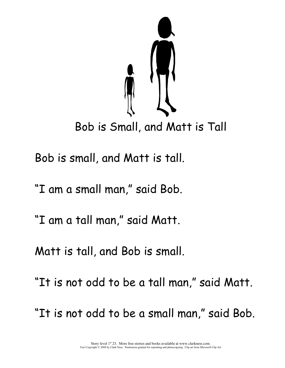

Bob is small, and Matt is tall.

"I am a small man," said Bob.

"I am a tall man," said Matt.

Matt is tall, and Bob is small.

"It is not odd to be a tall man," said Matt.

"It is not odd to be a small man," said Bob.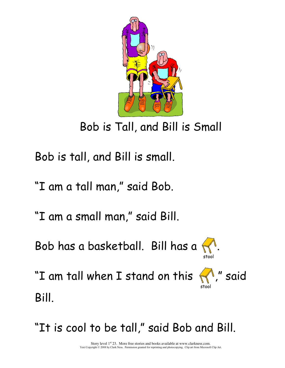

Bob is Tall, and Bill is Small

Bob is tall, and Bill is small.

"I am a tall man," said Bob.

"I am a small man," said Bill.

Bob has a basketball. Bill has a .



"I am tall when I stand on this  $\bigcap$ " said stool and the contract of the contract of the contract of the contract of the contract of the contract of the c Bill.

"It is cool to be tall," said Bob and Bill.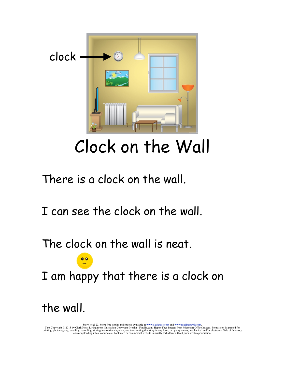

## Clock on the Wall

There is a clock on the wall.

I can see the clock on the wall.

The clock on the wall is neat.

I am happy that there is a clock on

the wall.

Story level 23. More free stories and ebooks available at <u>www.clarkness.com</u> and <u>www.readinghawk.com</u>.<br>Text Copyright © 2015 by Clark Ness. Living room illustration Copyright © opka - Fotolia.com. Happy Face images from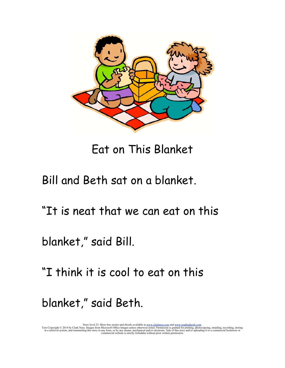

Eat on This Blanket

Bill and Beth sat on a blanket.

"It is neat that we can eat on this

blanket," said Bill.

"I think it is cool to eat on this

blanket," said Beth.

Story level 23. More free stories and ebooks available at <u>www.clarkness.com</u> and <u>www.readinghawk.com</u>.<br>Text Copyright © 2014 by Clark Ness. Images from Microsoft Office Images unless otherwise noted. Permission is grant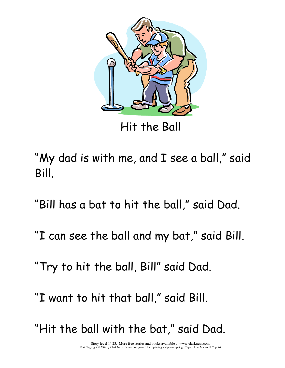

Hit the Ball

- "My dad is with me, and I see a ball," said Bill.
- "Bill has a bat to hit the ball," said Dad.
- "I can see the ball and my bat," said Bill.
- "Try to hit the ball, Bill" said Dad.
- "I want to hit that ball," said Bill.
- "Hit the ball with the bat," said Dad.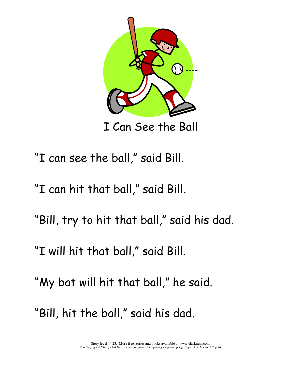

I Can See the Ball

- "I can see the ball," said Bill.
- "I can hit that ball," said Bill.
- "Bill, try to hit that ball," said his dad.
- "I will hit that ball," said Bill.
- "My bat will hit that ball," he said.
- "Bill, hit the ball," said his dad.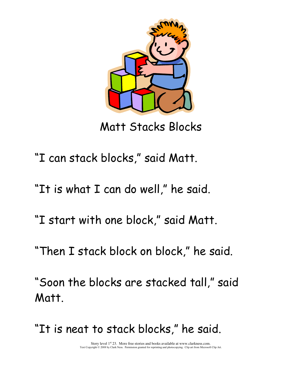

Matt Stacks Blocks

- "I can stack blocks," said Matt.
- "It is what I can do well," he said.
- "I start with one block," said Matt.
- "Then I stack block on block," he said.
- "Soon the blocks are stacked tall," said Matt.
- "It is neat to stack blocks," he said.